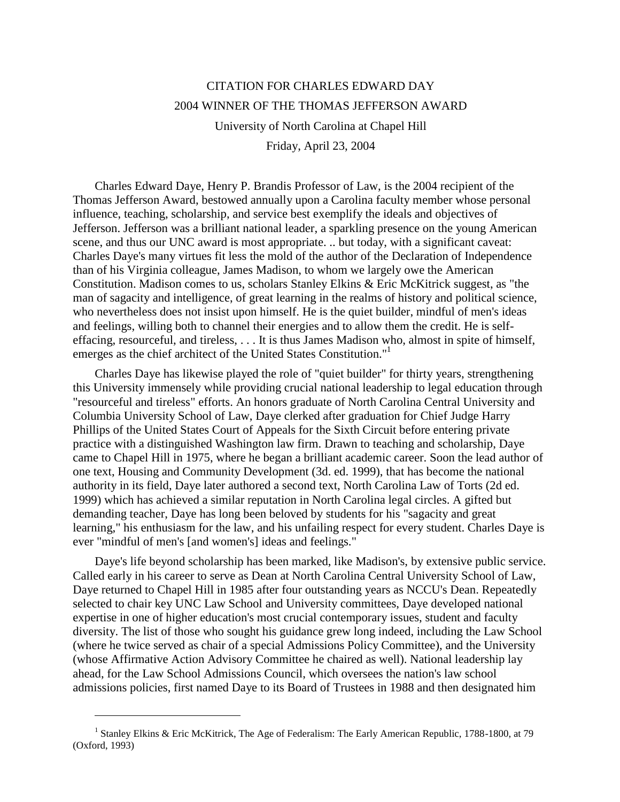## CITATION FOR CHARLES EDWARD DAY 2004 WINNER OF THE THOMAS JEFFERSON AWARD University of North Carolina at Chapel Hill

Friday, April 23, 2004

Charles Edward Daye, Henry P. Brandis Professor of Law, is the 2004 recipient of the Thomas Jefferson Award, bestowed annually upon a Carolina faculty member whose personal influence, teaching, scholarship, and service best exemplify the ideals and objectives of Jefferson. Jefferson was a brilliant national leader, a sparkling presence on the young American scene, and thus our UNC award is most appropriate. .. but today, with a significant caveat: Charles Daye's many virtues fit less the mold of the author of the Declaration of Independence than of his Virginia colleague, James Madison, to whom we largely owe the American Constitution. Madison comes to us, scholars Stanley Elkins & Eric McKitrick suggest, as "the man of sagacity and intelligence, of great learning in the realms of history and political science, who nevertheless does not insist upon himself. He is the quiet builder, mindful of men's ideas and feelings, willing both to channel their energies and to allow them the credit. He is selfeffacing, resourceful, and tireless, . . . It is thus James Madison who, almost in spite of himself, emerges as the chief architect of the United States Constitution."<sup>1</sup>

Charles Daye has likewise played the role of "quiet builder" for thirty years, strengthening this University immensely while providing crucial national leadership to legal education through "resourceful and tireless" efforts. An honors graduate of North Carolina Central University and Columbia University School of Law, Daye clerked after graduation for Chief Judge Harry Phillips of the United States Court of Appeals for the Sixth Circuit before entering private practice with a distinguished Washington law firm. Drawn to teaching and scholarship, Daye came to Chapel Hill in 1975, where he began a brilliant academic career. Soon the lead author of one text, Housing and Community Development (3d. ed. 1999), that has become the national authority in its field, Daye later authored a second text, North Carolina Law of Torts (2d ed. 1999) which has achieved a similar reputation in North Carolina legal circles. A gifted but demanding teacher, Daye has long been beloved by students for his "sagacity and great learning," his enthusiasm for the law, and his unfailing respect for every student. Charles Daye is ever "mindful of men's [and women's] ideas and feelings."

Daye's life beyond scholarship has been marked, like Madison's, by extensive public service. Called early in his career to serve as Dean at North Carolina Central University School of Law, Daye returned to Chapel Hill in 1985 after four outstanding years as NCCU's Dean. Repeatedly selected to chair key UNC Law School and University committees, Daye developed national expertise in one of higher education's most crucial contemporary issues, student and faculty diversity. The list of those who sought his guidance grew long indeed, including the Law School (where he twice served as chair of a special Admissions Policy Committee), and the University (whose Affirmative Action Advisory Committee he chaired as well). National leadership lay ahead, for the Law School Admissions Council, which oversees the nation's law school admissions policies, first named Daye to its Board of Trustees in 1988 and then designated him

 $\overline{a}$ 

<sup>&</sup>lt;sup>1</sup> Stanley Elkins & Eric McKitrick, The Age of Federalism: The Early American Republic, 1788-1800, at 79 (Oxford, 1993)